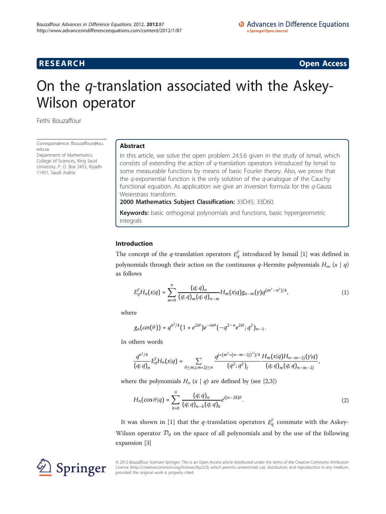**RESEARCH CONSTRUCTION CONSTRUCTS** 

# On the q-translation associated with the Askey-Wilson operator

Fethi Bouzaffour

Correspondence: [fbouzaffour@ksu.](mailto:fbouzaffour@ksu.edu.sa) [edu.sa](mailto:fbouzaffour@ksu.edu.sa)

Department of Mathematics, College of Sciences, King Saud University, P. O. Box 2455, Riyadh 11451, Saudi Arabia

# Abstract

In this article, we solve the open problem 24.5.6 given in the study of Ismail, which consists of extending the action of q-translation operators introduced by Ismail to some measurable functions by means of basic Fourier theory. Also, we prove that the  $q$ -exponential function is the only solution of the  $q$ -analogue of the Cauchy functional equation. As application we give an inversion formula for the  $q$ -Gauss Weierstrass transform.

2000 Mathematics Subject Classification: 33D45; 33D60.

Keywords: basic orthogonal polynomials and functions, basic hypergeometric integrals

# Introduction

The concept of the *q*-translation operators  $E_q^{\gamma}$  introduced by Ismail [[1\]](#page-10-0) was defined in polynomials through their action on the continuous q-Hermite polynomials  $H_m(x|q)$ as follows

$$
E_q^{\gamma}H_n(x|q) = \sum_{m=0}^n \frac{(q;q)_n}{(q;q)_m(q;q)_{n-m}} H_m(x|q)g_{n-m}(\gamma)q^{(m^2-n^2)/4}, \qquad (1)
$$

where

$$
g_n(cos(\theta)) = q^{n^2/4} (1 + e^{2i\theta}) e^{-in\theta} (-q^{2-n} e^{2i\theta}; q^2)_{n-1}.
$$

In others words

$$
\frac{q^{n^2/4}}{(q;q)_n}E_q^{\gamma}H_n(x|q)=\sum_{0\leq m,j,m+2j\leq n}\frac{q^{j+(m^2+(n-m-2j)^2)/4}}{(q^2;q^2)_j}\frac{H_m(x|q)H_{n-m-2j}(y|q)}{(q;q)_m(q;q)_{n-m-2j}},
$$

where the polynomials  $H_n(x|q)$  are defined by (see [\[2,3](#page-10-0)])

$$
H_n(\cos \theta | q) = \sum_{k=0}^n \frac{(q; q)_n}{(q; q)_{n-k}(q; q)_k} e^{i(n-2k)\theta}.
$$
 (2)

It was shown in [[1](#page-10-0)] that the *q*-translation operators  $E_q^{\gamma}$  commute with the Askey-Wilson operator  $\mathcal{D}_q$  on the space of all polynomials and by the use of the following expansion [[3\]](#page-10-0)



© 2012 Bouzaffour; licensee Springer. This is an Open Access article distributed under the terms of the Creative Commons Attribution License [\(http://creativecommons.org/licenses/by/2.0](http://creativecommons.org/licenses/by/2.0)), which permits unrestricted use, distribution, and reproduction in any medium, provided the original work is properly cited.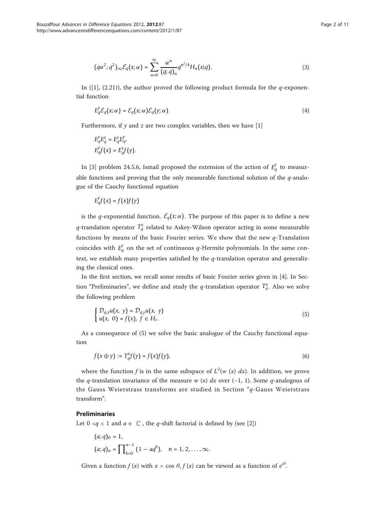$$
(q\alpha^2;q^2)_{\infty} \mathcal{E}_q(x;\alpha) = \sum_{n=0}^{\infty} \frac{\alpha^n}{(q;q)_n} q^{n^2/4} H_n(x|q).
$$
 (3)

In ([\[1](#page-10-0)], (2.21)), the author proved the following product formula for the  $q$ -exponential function

$$
E_q^{\gamma} \mathcal{E}_q(x; \alpha) = \mathcal{E}_q(x; \alpha) \mathcal{E}_q(y; \alpha).
$$
 (4)

Furthermore, if  $y$  and  $z$  are two complex variables, then we have [[1](#page-10-0)]

$$
\begin{aligned} E_q^\gamma E_q^z &= E_q^z E_{q}^\gamma, \\ E_q^\gamma f(x) &= E_q^x f(\gamma). \end{aligned}
$$

In [[3\]](#page-10-0) problem 24.5.6, Ismail proposed the extension of the action of  $E_q^{\gamma}$  to measurable functions and proving that the only measurable functional solution of the  $q$ -analogue of the Cauchy functional equation

$$
E_q^{\gamma}f(x) = f(x)f(\gamma)
$$

is the *q*-exponential function.  $\mathcal{E}_q(x;\alpha)$ . The purpose of this paper is to define a new  $q$ -translation operator  $T^{\mathrm{x}}_q$  related to Askey-Wilson operator acting in some measurable functions by means of the basic Fourier series. We show that the new  $q$ -Translation coincides with  $E_q^{\gamma}$  on the set of continuous q-Hermite polynomials. In the same context, we establish many properties satisfied by the  $q$ -translation operator and generalizing the classical ones.

In the first section, we recall some results of basic Fourier series given in [[4\]](#page-10-0). In Section "Preliminaries", we define and study the *q*-translation operator  $T_q^x$ . Also we solve the following problem

$$
\begin{cases} \mathcal{D}_{q,x}u(x, y) = \mathcal{D}_{q,y}u(x, y) \\ u(x, 0) = f(x), f \in H_{\varepsilon}.\end{cases}
$$
\n(5)

As a consequence of (5) we solve the basic analogue of the Cauchy functional equation

$$
f(x \oplus \gamma) := T_q^x f(\gamma) = f(x) f(\gamma), \tag{6}
$$

where the function f is in the same subspace of  $L^2(w(x) dx)$ . In addition, we prove the q-translation invariance of the measure w  $(x)$  dx over  $(-1, 1)$ . Some q-analogous of the Gauss Weierstrass transforms are studied in Section "q-Gauss Weierstrass transform".

# Preliminaries

Let  $0 < q < 1$  and  $a \in \mathbb{C}$ , the q-shift factorial is defined by (see [\[2](#page-10-0)])

$$
(a;q)_0 = 1,
$$
  
\n
$$
(a;q)_n = \prod_{k=0}^{n-1} (1 - aq^k), \quad n = 1, 2, ..., \infty.
$$

Given a function  $f(x)$  with  $x = \cos \theta$ ,  $f(x)$  can be viewed as a function of  $e^{i\theta}$ .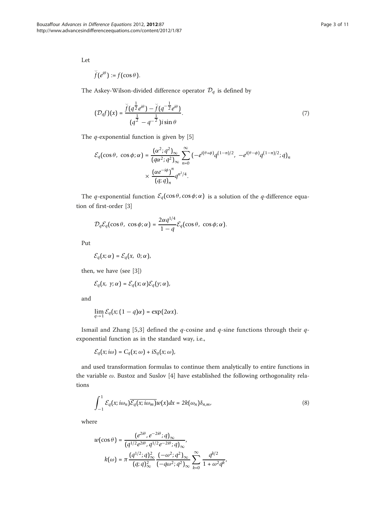Let

$$
\breve{f}(e^{i\theta}):=f(\cos\theta).
$$

The Askey-Wilson-divided difference operator  $\mathcal{D}_q$  is defined by

$$
(\mathcal{D}_q f)(x) = \frac{\breve{f}(q^{\frac{1}{2}} e^{i\theta}) - \breve{f}(q^{-\frac{1}{2}} e^{i\theta})}{(q^{\frac{1}{2}} - q^{-\frac{1}{2}})i \sin \theta}.
$$
 (7)

The *q*-exponential function is given by [\[5](#page-10-0)]

$$
\mathcal{E}_q(\cos\theta, \cos\phi; \alpha) = \frac{(\alpha^2; q^2)_{\infty}}{(q\alpha^2; q^2)_{\infty}} \sum_{n=0}^{\infty} \left( -e^{i(\theta+\phi)} q^{(1-n)/2}, -e^{i(\theta-\phi)} q^{(1-n)/2}; q \right)_n
$$

$$
\times \frac{(\alpha e^{-i\phi})^n}{(q; q)_n} q^{n^2/4}.
$$

The *q*-exponential function  $\mathcal{E}_q(\cos \theta, \cos \phi; \alpha)$  is a solution of the *q*-difference equation of first-order [\[3](#page-10-0)]

$$
\mathcal{D}_q \mathcal{E}_q(\cos \theta, \cos \phi; \alpha) = \frac{2\alpha q^{1/4}}{1-q} \mathcal{E}_q(\cos \theta, \cos \phi; \alpha).
$$

Put

$$
\mathcal{E}_q\big(x;\alpha\big)=\mathcal{E}_q\big(x,\ 0;\alpha\big),
$$

then, we have (see [\[3](#page-10-0)])

$$
\mathcal{E}_q(x, y; \alpha) = \mathcal{E}_q(x; \alpha) \mathcal{E}_q(y; \alpha),
$$

and

$$
\lim_{q\to 1}\mathcal{E}_q(x;(1-q)\alpha)=\exp(2\alpha x).
$$

Ismail and Zhang [\[5](#page-10-0),[3\]](#page-10-0) defined the  $q$ -cosine and  $q$ -sine functions through their  $q$ exponential function as in the standard way, i.e.,

$$
\mathcal{E}_q(x; i\omega) = C_q(x; \omega) + i S_q(x; \omega),
$$

and used transformation formulas to continue them analytically to entire functions in the variable  $\omega$ . Bustoz and Suslov [[4\]](#page-10-0) have established the following orthogonality relations

$$
\int_{-1}^{1} \mathcal{E}_q(x; i\omega_n) \overline{\mathcal{E}_q(x; i\omega_m)} w(x) dx = 2k(\omega_n) \delta_{n,m},
$$
\n(8)

where

$$
w(\cos \theta) = \frac{(e^{2i\theta}, e^{-2i\theta}; q)_{\infty}}{(q^{1/2}e^{2i\theta}, q^{1/2}e^{-2i\theta}; q)_{\infty}},
$$

$$
k(\omega) = \pi \frac{(q^{1/2}; q)_{\infty}^2}{(q; q)_{\infty}^2} \frac{(-\omega^2; q^2)_{\infty}}{(-q\omega^2; q^2)_{\infty}} \sum_{k=0}^{\infty} \frac{q^{k/2}}{1 + \omega^2 q^k},
$$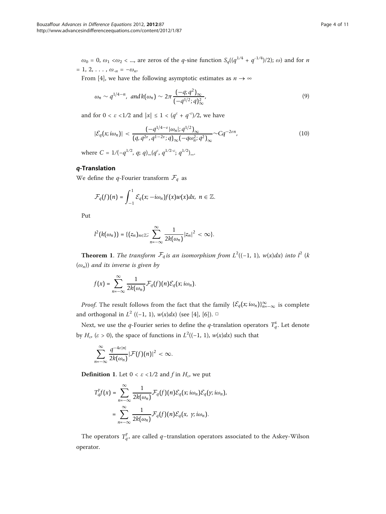$\omega_0 = 0$ ,  $\omega_1 < \omega_2 < ...$ , are zeros of the *q*-sine function  $S_q((q^{1/4} + q^{-1/4})/2)$ ;  $\omega$ ) and for *n*  $= 1, 2, \ldots, \omega_{-n} = -\omega_n.$ 

From [[4\]](#page-10-0), we have the following asymptotic estimates as  $n \to \infty$ 

$$
\omega_n \sim q^{1/4-n}
$$
, and  $k(\omega_n) \sim 2\pi \frac{(-q;q^2)_{\infty}}{(-q^{1/2};q)_{\infty}^2}$ , (9)

and for  $0 < \varepsilon < 1/2$  and  $|x| \leq 1 < (q^{\varepsilon} + q^{-\varepsilon})/2$ , we have

$$
|\mathcal{E}_q(x;i\omega_n)| < \frac{(-q^{1/4-\varepsilon}|\omega_n|; q^{1/2})_{\infty}}{(q, q^{2\varepsilon}, q^{1-2\varepsilon}; q)_{\infty}(-q\omega_n^2; q^2)_{\infty}} \sim Cq^{-2\varepsilon n},
$$
\n(10)

where  $C = 1/(-q^{1/2}, q; q)_{\infty} (q^{\varepsilon}, q^{1/2-\varepsilon}; q^{1/2})_{\infty}$ .

# q-Translation

We define the *q*-Fourier transform  $\mathcal{F}_q$  as

$$
\mathcal{F}_q(f)(n)=\int_{-1}^1\mathcal{E}_q(x;-i\omega_n)f(x)w(x)dx,\;n\in\mathbb{Z}.
$$

Put

$$
l^{2}(k(\omega_{n}))=\{(z_{n})_{n\in\mathbb{Z}};\sum_{n=-\infty}^{\infty}\frac{1}{2k(\omega_{n})}|z_{n}|^{2}<\infty\}.
$$

**Theorem 1.** The transform  $\mathcal{F}_q$  is an isomorphism from  $L^2((-1, 1), w(x)dx)$  into  $l^2$  (k  $(\omega_n)$ ) and its inverse is given by

$$
f(x) = \sum_{n=-\infty}^{\infty} \frac{1}{2k(\omega_n)} \mathcal{F}_q(f)(n) \mathcal{E}_q(x; i\omega_n).
$$

*Proof.* The result follows from the fact that the family  $\{\mathcal{E}_q(x; i\omega_n)\}_{n=-\infty}^{\infty}$  is complete and orthogonal in  $L^2$  ((-1, 1),  $w(x)dx$ ) (see [[4\]](#page-10-0), [\[6](#page-10-0)]). □

Next, we use the *q*-Fourier series to define the *q*-translation operators  $T_q^x$ . Let denote by  $H_e$ , ( $\varepsilon > 0$ ), the space of functions in  $L^2((-1, 1), w(x)dx)$  such that

$$
\sum_{n=-\infty}^{\infty} \frac{q^{-4\varepsilon|n|}}{2k(\omega_n)} |\mathcal{F}(f)(n)|^2 < \infty.
$$

**Definition 1.** Let  $0 < \varepsilon < 1/2$  and f in  $H_{\varepsilon}$ , we put

$$
T_q^{\gamma}f(x) = \sum_{n=-\infty}^{\infty} \frac{1}{2k(\omega_n)} \mathcal{F}_q(f)(n)\mathcal{E}_q(x; i\omega_n)\mathcal{E}_q(y; i\omega_n),
$$
  
= 
$$
\sum_{n=-\infty}^{\infty} \frac{1}{2k(\omega_n)} \mathcal{F}_q(f)(n)\mathcal{E}_q(x, y; i\omega_n).
$$

The operators  $T_q^y$ , are called  $q$ -translation operators associated to the Askey-Wilson operator.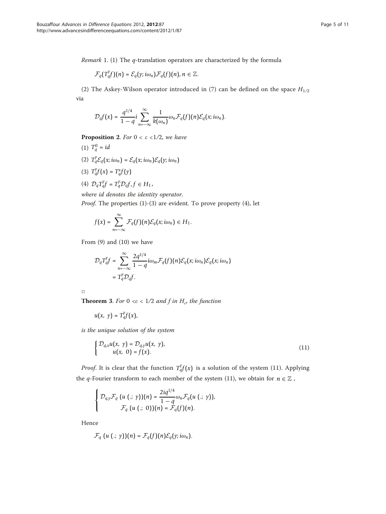Remark 1. (1) The q-translation operators are characterized by the formula

$$
\mathcal{F}_q(T_q^yf)(n)=\mathcal{E}_q(y;i\omega_n)\mathcal{F}_q(f)(n), n\in\mathbb{Z}.
$$

(2) The Askey-Wilson operator introduced in (7) can be defined on the space  $H_{1/2}$ via

$$
\mathcal{D}_q f(x) = \frac{q^{1/4}}{1-q} i \sum_{n=-\infty}^{\infty} \frac{1}{k(\omega_n)} \omega_n \mathcal{F}_q(f)(n) \mathcal{E}_q(x; i\omega_n).
$$

**Proposition 2.** For  $0 < \varepsilon < 1/2$ , we have

- (1)  $T_q^0 = id$ (2)  $T_q^{\gamma} \mathcal{E}_q(x; i\omega_n) = \mathcal{E}_q(x; i\omega_n) \mathcal{E}_q(y; i\omega_n)$ (3)  $T_q^{\gamma}f(x) = T_q^{\gamma}f(\gamma)$
- (4)  $\mathcal{D}_q T_q^{\gamma} f = T_q^{\gamma} \mathcal{D}_q f, f \in H_1$ ,

where id denotes the identity operator. Proof. The properties (1)-(3) are evident. To prove property (4), let

$$
f(x)=\sum_{n=-\infty}^{\infty}\mathcal{F}_q(f)(n)\mathcal{E}_q(x;i\omega_n)\in H_1.
$$

From (9) and (10) we have

$$
\mathcal{D}_{q}T_{q}^{\gamma}f = \sum_{n=-\infty}^{\infty} \frac{2q^{1/4}}{1-q} i\omega_{m} \mathcal{F}_{q}(f)(n)\mathcal{E}_{q}(x;i\omega_{n})\mathcal{E}_{q}(x;i\omega_{n})
$$
  
=  $T_{q}^{\gamma} \mathcal{D}_{q}f$ .

| . .<br>. . |
|------------|
|            |
|            |

**Theorem 3.** For  $0 \le \varepsilon < 1/2$  and f in  $H_{\varepsilon}$ , the function

$$
u(x, y) = T_q^{\gamma}f(x),
$$

is the unique solution of the system

$$
\begin{cases} \mathcal{D}_{q,x}u(x, y) = \mathcal{D}_{q,y}u(x, y), \\ u(x, 0) = f(x). \end{cases}
$$
\n(11)

*Proof.* It is clear that the function  $T_q^{\gamma} f(x)$  is a solution of the system (11). Applying the *q*-Fourier transform to each member of the system (11), we obtain for  $n \in \mathbb{Z}$ ,

$$
\left\{\begin{aligned} \mathcal{D}_{q,\gamma}\mathcal{F}_q\left(u\left(.;\;\gamma\right)\right)(n)&=\frac{2iq^{1/4}}{1-q}\omega_n\mathcal{F}_q\big(u\left(.;\;\gamma\right)\big),\\ \mathcal{F}_q\left(u\left(.;\;0\right)\right)(n)&=\mathcal{F}_q(f)(n). \end{aligned}\right.
$$

Hence

$$
\mathcal{F}_q(u(.; \gamma))(n) = \mathcal{F}_q(f)(n)\mathcal{E}_q(\gamma; i\omega_n).
$$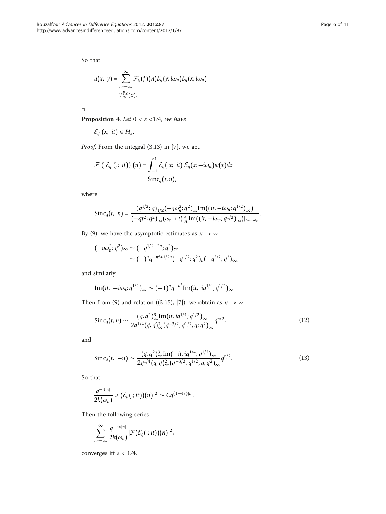So that

$$
u(x, y) = \sum_{n=-\infty}^{\infty} \mathcal{F}_q(f)(n) \mathcal{E}_q(y; i\omega_n) \mathcal{E}_q(x; i\omega_n)
$$
  
=  $T_q^y f(x)$ .

 $\Box$ 

**Proposition 4.** Let  $0 < \varepsilon < 1/4$ , we have

$$
\mathcal{E}_q(x; it) \in H_{\varepsilon}.
$$

Proof. From the integral (3.13) in [[7\]](#page-10-0), we get

$$
\mathcal{F}\left(\mathcal{E}_{q}\left(.; \; it\right)\right)(n) = \int_{-1}^{1} \mathcal{E}_{q}\left(x; \; it\right) \mathcal{E}_{q}\left(x; -i\omega_{n}\right) w(x) dx
$$

$$
= \text{Sinc}_{q}\left(t, n\right),
$$

where

$$
\operatorname{Sinc}_q(t, n) = \frac{(q^{1/2}; q)_{1/2}(-q\omega_n^2; q^2)_{\infty} \operatorname{Im}((it, -i\omega_n; q^{1/2})_{\infty})}{(-qt^2; q^2)_{\infty}(\omega_n + t) \frac{\partial}{\partial t} \operatorname{Im}((it, -i\omega_n; q^{1/2})_{\infty})|_{t=-\omega_n}}.
$$

By (9), we have the asymptotic estimates as  $n \to \infty$ 

$$
\begin{aligned} (-q\omega_n^2; q^2)_{\infty} &\sim (-q^{1/2-2n}; q^2)_{\infty} \\ &\sim (-)^n q^{-n^2+1/2n} (-q^{1/2}; q^2)_n (-q^{3/2}; q^2)_{\infty}, \end{aligned}
$$

and similarly

Im(it, 
$$
-i\omega_n
$$
;  $q^{1/2}$ ) <sub>$\infty$</sub>   $\sim$   $(-1)^n q^{-n^2}$ Im(it,  $iq^{1/4}$ ;  $q^{1/2}$ ) <sub>$\infty$</sub> .

Then from (9) and relation ((3.15), [\[7](#page-10-0)]), we obtain as  $n \to \infty$ 

$$
\operatorname{Sinc}_q(t,n) \sim \frac{(q,q^2)^3_{\infty} \operatorname{Im}(it, iq^{1/4};q^{1/2})_{\infty}}{2q^{1/4}(q,q)^2_{\infty}(q^{-3/2},q^{1/2},q;q^2)_{\infty}} q^{n/2},\tag{12}
$$

and

$$
\text{Sinc}_q(t, -n) \sim \frac{(q, q^2)_{\infty}^3 \text{Im}(-it, iq^{1/4}; q^{1/2})_{\infty}}{2q^{1/4}(q, q)_{\infty}^2 (q^{-3/2}, q^{1/2}, q, q^2)_{\infty}} q^{n/2}.
$$
\n(13)

So that

$$
\frac{q^{-4|n|}}{2k(\omega_n)}|\mathcal{F}(\mathcal{E}_q(.;it))(n)|^2 \sim Cq^{(1-4\varepsilon)|n|}.
$$

Then the following series

$$
\sum_{n=-\infty}^{\infty} \frac{q^{-4\varepsilon|n|}}{2k(\omega_n)} |\mathcal{F}(\mathcal{E}_q(.;it))(n)|^2,
$$

converges iff  $\varepsilon$  < 1/4.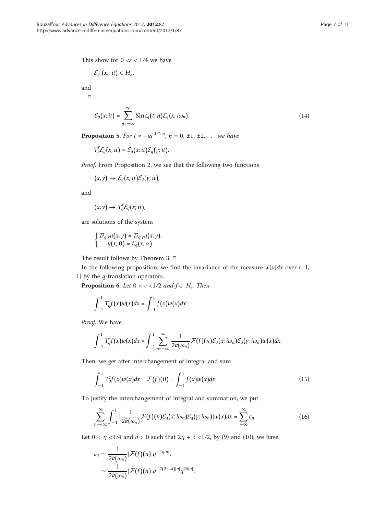This show for  $0 \leq \epsilon \leq 1/4$  we have

$$
\mathcal{E}_q(x;~it) \in H_{\varepsilon},
$$

and  $\Box$ 

$$
\mathcal{E}_q(x; it) = \sum_{n=-\infty}^{\infty} \text{Sinc}_q(t, n) \mathcal{E}_q(x; i\omega_n).
$$
 (14)

**Proposition 5.** For  $t \ne -iq^{-1/2-n}$ ,  $n = 0, ±1, ±2, ...$  we have

$$
T_q^{\gamma} \mathcal{E}_q(x; it) = \mathcal{E}_q(x; it) \mathcal{E}_q(y; it).
$$

Proof. From Proposition 2, we see that the following two functions

 $(x, y) \rightarrow \mathcal{E}_q(x; it)\mathcal{E}_q(y; it),$ 

and

$$
(x,\gamma)\to T_q^\gamma\mathcal{E}_q(x;it),
$$

are solutions of the system

$$
\left\{\begin{aligned} \mathcal{D}_{q,x}u\big(x,\gamma\big)&=\mathcal{D}_{q,\gamma}u\big(x,\gamma\big),\\ u\big(x,0\big)&=\mathcal{E}_q\big(x;\alpha\big). \end{aligned}\right.
$$

The result follows by Theorem 3. □

In the following proposition, we find the invariance of the measure  $w(x)dx$  over (-1, 1) by the  $q$ -translation operators.

**Proposition 6.** Let  $0 < \varepsilon < 1/2$  and  $f \in H_{\varepsilon}$ . Then

$$
\int_{-1}^1 T_q^{y} f(x) w(x) dx = \int_{-1}^1 f(x) w(x) dx.
$$

Proof. We have

$$
\int_{-1}^1 T_q^{\gamma} f(x) w(x) dx = \int_{-1}^1 \sum_{n=-\infty}^{\infty} \frac{1}{2k(\omega_n)} \mathcal{F}(f)(n) \mathcal{E}_q(x; i\omega_n) \mathcal{E}_q(y; i\omega_n) w(x) dx.
$$

Then, we get after interchangement of integral and sum

$$
\int_{-1}^{1} T_q^{\gamma} f(x) w(x) dx = \mathcal{F}(f)(0) = \int_{-1}^{1} f(x) w(x) dx.
$$
 (15)

To justify the interchangement of integral and summation, we put

$$
\sum_{n=-\infty}^{\infty}\int_{-1}^{1}|\frac{1}{2k(\omega_n)}\mathcal{F}(f)(n)\mathcal{E}_q(x,i\omega_n)\mathcal{E}_q(y,i\omega_n)|w(x)dx = \sum_{-\infty}^{\infty}c_n.
$$
 (16)

Let  $0 < \eta < 1/4$  and  $\delta > 0$  such that  $2\eta + \delta < 1/2$ , by (9) and (10), we have

$$
c_n \sim \frac{1}{2k(\omega_n)} |\mathcal{F}(f)(n)|q^{-4\eta|n|},
$$
  
 
$$
\sim \frac{1}{2k(\omega_n)} |\mathcal{F}(f)(n)|q^{-2(2\eta+\delta)|n|}q^{2\delta|n|}.
$$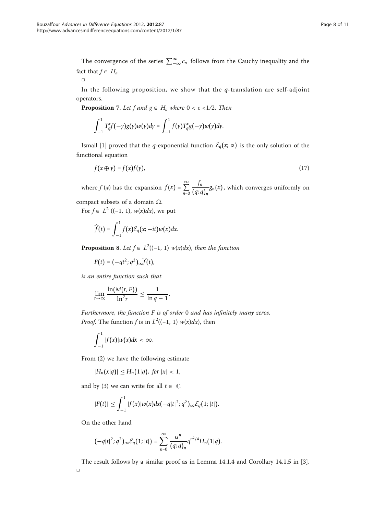The convergence of the series  $\sum_{-\infty}^{\infty} c_n$  follows from the Cauchy inequality and the fact that  $f \in H_{e}$ .

 $\Box$ 

In the following proposition, we show that the  $q$ -translation are self-adjoint operators.

**Proposition** 7. Let f and  $g \in H_{\varepsilon}$  where  $0 < \varepsilon < 1/2$ . Then

$$
\int_{-1}^1 T_q^x f(-\gamma)g(\gamma)w(\gamma) d\gamma = \int_{-1}^1 f(\gamma) T_q^x g(-\gamma)w(\gamma) d\gamma.
$$

Ismail [[1\]](#page-10-0) proved that the *q*-exponential function  $\mathcal{E}_q(x; \alpha)$  is the only solution of the functional equation

$$
f(x \oplus y) = f(x)f(y), \tag{17}
$$

where  $f(x)$  has the expansion  $f(x) = \sum_{n=0}^{\infty}$ *fn*  $\frac{\partial^m}{\partial q_i q} g_n(x)$ , which converges uniformly on

compact subsets of a domain  $Ω$ .

For  $f \in L^2$  ((−1, 1),  $w(x)dx$ ), we put

$$
\widehat{f}(t)=\int_{-1}^{1}f(x)\mathcal{E}_{q}(x,-it)w(x)dx.
$$

**Proposition 8.** Let  $f \in L^2((-1, 1) w(x)dx)$ , then the function

*F*(*t*) =  $(-qt^2; q^2)_{∞} \hat{f}(t)$ ,

is an entire function such that

$$
\lim_{r\to\infty}\frac{\ln(M(r,F))}{\ln^2r}\leq\frac{1}{\ln q-1}.
$$

Furthermore, the function  $F$  is of order  $0$  and has infinitely many zeros. *Proof.* The function f is in  $L^2((-1, 1) w(x)dx)$ , then

$$
\int_{-1}^1 |f(x)| w(x) dx < \infty.
$$

From (2) we have the following estimate

$$
|H_n(x|q)| \leq H_n(1|q), \text{ for } |x| < 1,
$$

and by (3) we can write for all  $t \in \mathbb{C}$ 

$$
|F(t)| \leq \int_{-1}^1 |f(x)| w(x) dx (-q|t|^2; q^2)_{\infty} \mathcal{E}_q(1; |t|).
$$

On the other hand

$$
\bigl(-q|t|^2;q^2\bigr)_{\infty}{\mathcal E}_q\bigl(1;|t|\bigr)=\sum_{n=0}^\infty\frac{\alpha^n}{(q;q)_n}q^{n^2/4}H_n\bigl(1|q\bigr).
$$

The result follows by a similar proof as in Lemma 14.1.4 and Corollary 14.1.5 in [\[3](#page-10-0)]. □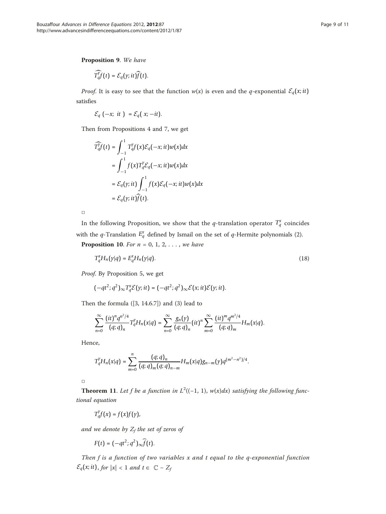Proposition 9. We have

$$
\widehat{T_q^y f}(t) = \mathcal{E}_q(y; it) \widehat{f}(t).
$$

*Proof.* It is easy to see that the function  $w(x)$  is even and the q-exponential  $\mathcal{E}_q(x; i t)$ satisfies

$$
\mathcal{E}_q(-x;~it~) = \mathcal{E}_q(-x;-it).
$$

Then from Propositions 4 and 7, we get

$$
\widehat{T_q^f}(t) = \int_{-1}^1 T_q^y f(x) \mathcal{E}_q(-x; it) w(x) dx
$$
  
= 
$$
\int_{-1}^1 f(x) T_q^y \mathcal{E}_q(-x; it) w(x) dx
$$
  
= 
$$
\mathcal{E}_q(y; it) \int_{-1}^1 f(x) \mathcal{E}_q(-x; it) w(x) dx
$$
  
= 
$$
\mathcal{E}_q(y; it) \widehat{f}(t).
$$

 $\Box$ 

In the following Proposition, we show that the *q*-translation operator  $T_q^x$  coincides with the  $q$ -Translation  $E_q^x$  defined by Ismail on the set of  $q$ -Hermite polynomials (2).

**Proposition 10.** For  $n = 0, 1, 2, \ldots$ , we have

$$
T_q^x H_n(\gamma|q) = E_q^x H_n(\gamma|q). \tag{18}
$$

Proof. By Proposition 5, we get

$$
(-qt^2;q^2)_{\infty}T_q^{\mathcal{X}}\mathcal{E}(\gamma;it)=(-qt^2;q^2)_{\infty}\mathcal{E}(x;it)\mathcal{E}(\gamma;it).
$$

Then the formula ([3, 14.6.7]) and (3) lead to

$$
\sum_{n=0}^{\infty} \frac{(it)^n q^{n^2/4}}{(q;q)_n} T_q^{\gamma} H_n(x|q) = \sum_{n=0}^{\infty} \frac{g_n(y)}{(q;q)_n} (it)^n \sum_{m=0}^{\infty} \frac{(it)^m q^{m^2/4}}{(q;q)_m} H_m(x|q).
$$

Hence,

$$
T_q^{\gamma}H_n(x|q)=\sum_{m=0}^n\frac{(q;q)_n}{(q;q)_m(q;q)_{n-m}}H_m(x|q)g_{n-m}(\gamma)q^{(m^2-n^2)/4}.
$$

□

**Theorem 11.** Let f be a function in  $L^2((-1, 1), w(x)dx)$  satisfying the following functional equation

$$
T_q^{\gamma}f(x)=f(x)f(\gamma),
$$

and we denote by  $Z_f$  the set of zeros of

$$
F(t) = (-qt^2; q^2)_{\infty} \widehat{f}(t).
$$

Then f is a function of two variables x and t equal to the q-exponential function  $\mathcal{E}_q(x; it)$ , for  $|x| < 1$  and  $t \in \mathbb{C} - Z_f$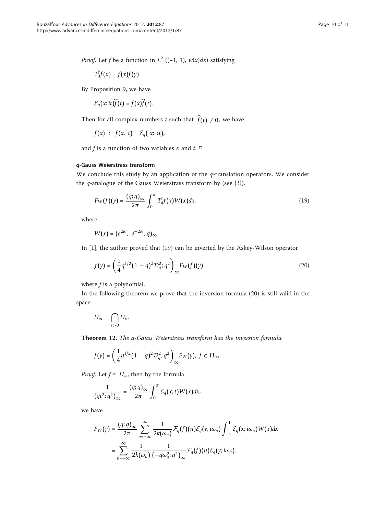*Proof.* Let f be a function in  $L^2$  ((-1, 1),  $w(x)dx$ ) satisfying

$$
T_q^{\gamma}f(x)=f(x)f(\gamma).
$$

By Proposition 9, we have

$$
\mathcal{E}_q(x; it) f(t) = f(x) f(t).
$$

Then for all complex numbers *t* such that  $f(t) \neq 0$ , we have

$$
f(x) := f(x, t) = \mathcal{E}_q(x; it),
$$

and f is a function of two variables x and  $t$ .  $\Box$ 

## q-Gauss Weierstrass transform

We conclude this study by an application of the  $q$ -translation operators. We consider the q-analogue of the Gauss Weierstrass transform by (see [\[3\]](#page-10-0)).

$$
F_W(f)(y) = \frac{(q;q)_{\infty}}{2\pi} \int_0^{\pi} T_q^y f(x)W(x) dx,
$$
\n(19)

where

$$
W(x)=(e^{2i\theta}, e^{-2i\theta};q)_{\infty}.
$$

In [[1\]](#page-10-0), the author proved that (19) can be inverted by the Askey-Wilson operator

$$
f(y) = \left(\frac{1}{4}q^{1/2}(1-q)^2 \mathcal{D}_q^2; q^2\right)_{\infty} F_W(f)(y).
$$
 (20)

where  $f$  is a polynomial.

In the following theorem we prove that the inversion formula (20) is still valid in the space

$$
H_{\infty} = \bigcap_{\varepsilon > 0} H_{\varepsilon}.
$$

Theorem 12. The q-Gauss Weierstrass transform has the inversion formula

$$
f(\gamma)=\left(\frac{1}{4}q^{1/2}(1-q)^2\mathcal{D}_q^2;q^2\right)_\infty F_W(\gamma),\;f\in H_\infty.
$$

*Proof.* Let  $f \in H_{\infty}$ , then by the formula

$$
\frac{1}{(qt^2;q^2)_{\infty}}=\frac{(q;q)_{\infty}}{2\pi}\int_0^{\pi}\mathcal{E}_q(x;t)W(x)dx,
$$

we have

$$
F_W(y) = \frac{(q;q)_{\infty}}{2\pi} \sum_{n=-\infty}^{\infty} \frac{1}{2k(\omega_n)} \mathcal{F}_q(f)(n) \mathcal{E}_q(y; i\omega_n) \int_{-1}^1 \mathcal{E}_q(x; i\omega_n) W(x) dx
$$
  
= 
$$
\sum_{n=-\infty}^{\infty} \frac{1}{2k(\omega_n)} \frac{1}{(-q\omega_n^2; q^2)_{\infty}} \mathcal{F}_q(f)(n) \mathcal{E}_q(y; i\omega_n).
$$